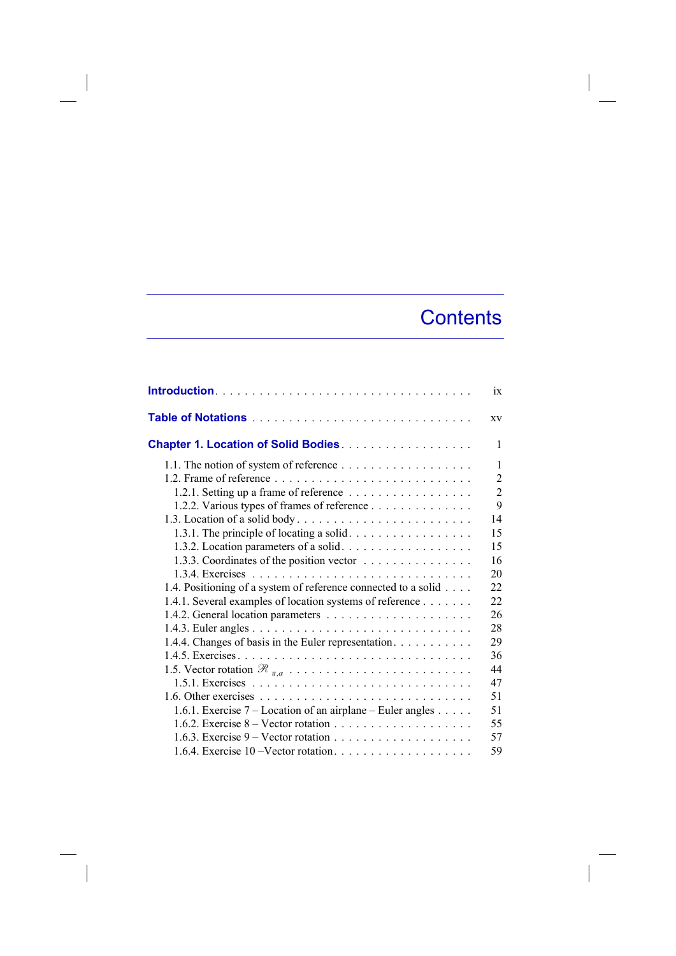## **Contents**

 $\overline{\phantom{a}}$ 

|                                                                                                                     | ix                  |
|---------------------------------------------------------------------------------------------------------------------|---------------------|
|                                                                                                                     | XV                  |
| Chapter 1. Location of Solid Bodies.                                                                                | 1                   |
|                                                                                                                     | 1<br>$\overline{2}$ |
| 1.2.1. Setting up a frame of reference                                                                              | $\overline{2}$      |
| 1.2.2. Various types of frames of reference                                                                         | 9<br>14             |
| 1.3.1. The principle of locating a solid. $\dots \dots \dots \dots \dots$<br>1.3.2. Location parameters of a solid. | 15<br>15            |
| 1.3.3. Coordinates of the position vector                                                                           | 16                  |
| 1.4. Positioning of a system of reference connected to a solid                                                      | 20<br>22            |
| 1.4.1. Several examples of location systems of reference                                                            | 22<br>26            |
|                                                                                                                     | 28                  |
| 1.4.4. Changes of basis in the Euler representation.                                                                | 29<br>36            |
|                                                                                                                     | 44                  |
|                                                                                                                     | 47<br>51            |
| 1.6.1. Exercise $7 -$ Location of an airplane – Euler angles                                                        | 51<br>55            |
|                                                                                                                     | 57                  |
|                                                                                                                     | 59                  |

 $\overline{\phantom{a}}$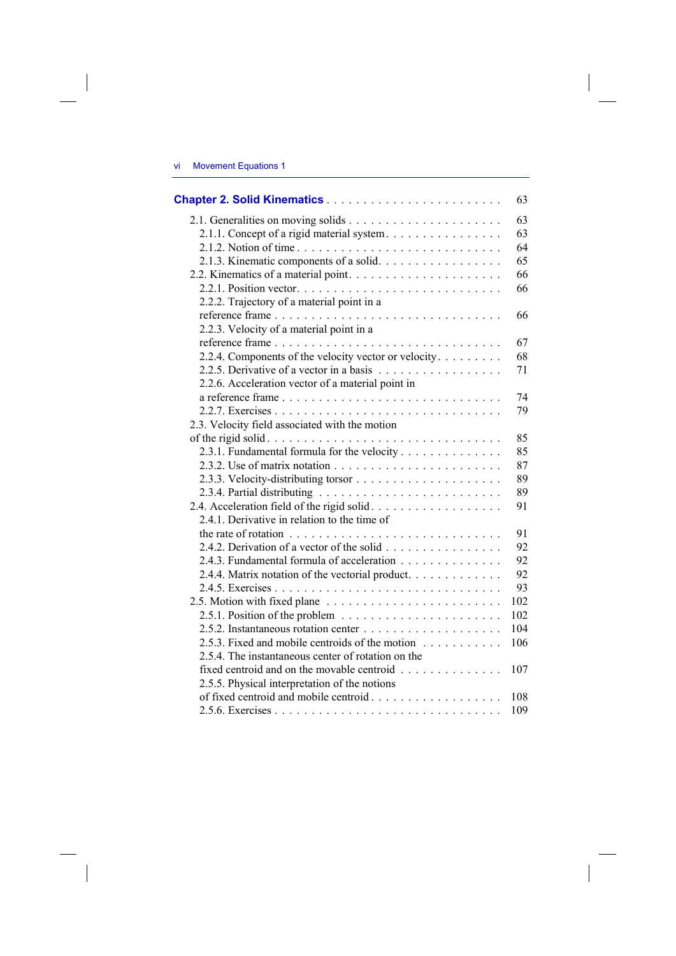## vi Movement Equations 1

 $\overline{\phantom{a}}$ 

|                                                                                          | 63  |
|------------------------------------------------------------------------------------------|-----|
|                                                                                          | 63  |
| 2.1.1. Concept of a rigid material system.                                               | 63  |
| 2.1.2. Notion of time                                                                    | 64  |
| 2.1.3. Kinematic components of a solid.                                                  | 65  |
|                                                                                          | 66  |
|                                                                                          | 66  |
| 2.2.2. Trajectory of a material point in a                                               |     |
|                                                                                          | 66  |
| 2.2.3. Velocity of a material point in a                                                 |     |
|                                                                                          | 67  |
| 2.2.4. Components of the velocity vector or velocity                                     | 68  |
|                                                                                          | 71  |
| 2.2.6. Acceleration vector of a material point in                                        |     |
|                                                                                          | 74  |
|                                                                                          | 79  |
| 2.3. Velocity field associated with the motion                                           |     |
|                                                                                          | 85  |
| 2.3.1. Fundamental formula for the velocity                                              | 85  |
|                                                                                          | 87  |
|                                                                                          | 89  |
|                                                                                          | 89  |
| 2.4. Acceleration field of the rigid solid.                                              | 91  |
| 2.4.1. Derivative in relation to the time of                                             |     |
| the rate of rotation $\dots \dots \dots \dots \dots \dots \dots \dots \dots \dots \dots$ | 91  |
|                                                                                          | 92  |
| 2.4.3. Fundamental formula of acceleration                                               | 92  |
| 2.4.4. Matrix notation of the vectorial product.                                         | 92  |
|                                                                                          | 93  |
|                                                                                          | 102 |
| 2.5.1. Position of the problem $\ldots \ldots \ldots \ldots \ldots \ldots$               | 102 |
|                                                                                          | 104 |
| 2.5.3. Fixed and mobile centroids of the motion                                          | 106 |
| 2.5.4. The instantaneous center of rotation on the                                       |     |
| fixed centroid and on the movable centroid                                               | 107 |
| 2.5.5. Physical interpretation of the notions                                            |     |
| of fixed centroid and mobile centroid                                                    | 108 |
|                                                                                          | 109 |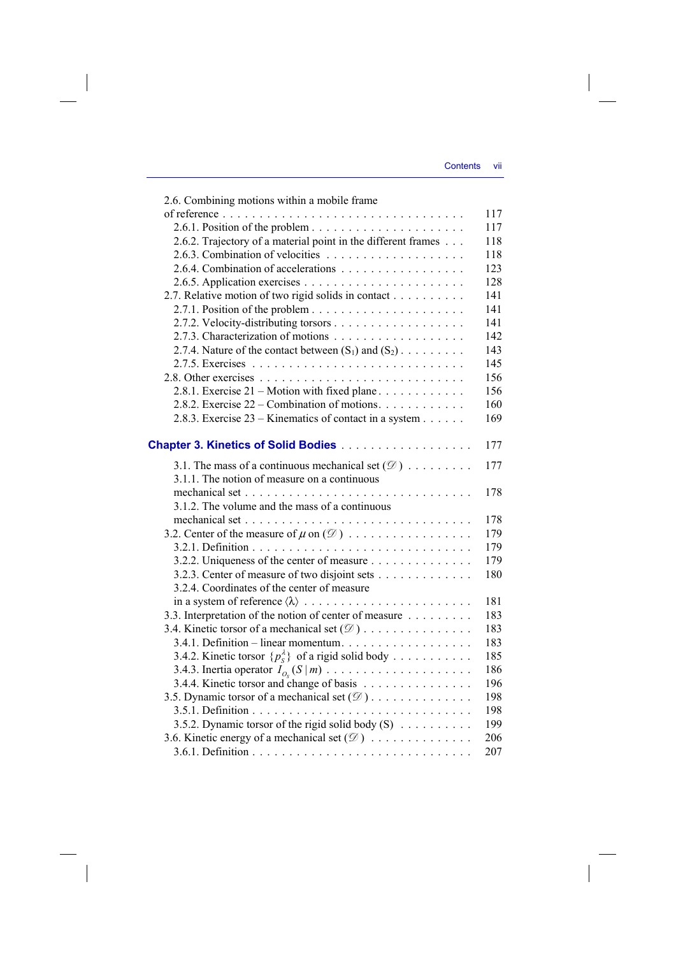| 2.6. Combining motions within a mobile frame                     |     |
|------------------------------------------------------------------|-----|
|                                                                  | 117 |
|                                                                  | 117 |
| 2.6.2. Trajectory of a material point in the different frames    | 118 |
|                                                                  | 118 |
| 2.6.4. Combination of accelerations                              | 123 |
|                                                                  | 128 |
| 2.7. Relative motion of two rigid solids in contact              | 141 |
|                                                                  | 141 |
|                                                                  | 141 |
|                                                                  | 142 |
| 2.7.4. Nature of the contact between $(S_1)$ and $(S_2)$         | 143 |
|                                                                  | 145 |
|                                                                  | 156 |
| 2.8.1. Exercise $21$ – Motion with fixed plane                   | 156 |
| 2.8.2. Exercise $22$ – Combination of motions.                   | 160 |
| 2.8.3. Exercise $23 -$ Kinematics of contact in a system         | 169 |
| <b>Chapter 3. Kinetics of Solid Bodies </b>                      | 177 |
| 3.1. The mass of a continuous mechanical set $(\mathcal{D})$     | 177 |
| 3.1.1. The notion of measure on a continuous                     |     |
|                                                                  | 178 |
| 3.1.2. The volume and the mass of a continuous                   |     |
|                                                                  | 178 |
| 3.2. Center of the measure of $\mu$ on $(\mathcal{D})$           | 179 |
|                                                                  | 179 |
| 3.2.2. Uniqueness of the center of measure                       | 179 |
| 3.2.3. Center of measure of two disjoint sets                    | 180 |
| 3.2.4. Coordinates of the center of measure                      |     |
|                                                                  | 181 |
| 3.3. Interpretation of the notion of center of measure           | 183 |
| 3.4. Kinetic torsor of a mechanical set $(\mathcal{D})$          | 183 |
| 3.4.1. Definition - linear momentum.                             | 183 |
| 3.4.2. Kinetic torsor $\{p_s^{\lambda}\}\$ of a rigid solid body | 185 |
|                                                                  | 186 |
| 3.4.4. Kinetic torsor and change of basis                        | 196 |
| 3.5. Dynamic torsor of a mechanical set $(\mathcal{D})$          | 198 |
|                                                                  | 198 |
| 3.5.2. Dynamic torsor of the rigid solid body $(S)$              | 199 |
| 3.6. Kinetic energy of a mechanical set $(\mathcal{D})$          | 206 |
|                                                                  | 207 |
|                                                                  |     |